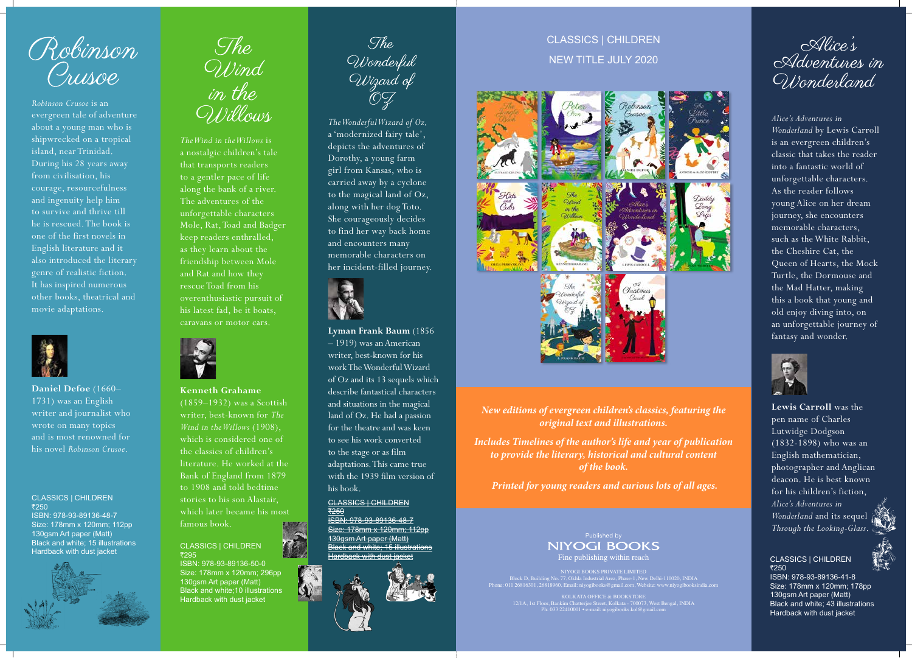## *Alice's Adventures in Wonderland* by Lewis Carroll is an evergreen children's classic that takes the reader into a fantastic world of unforgettable characters. As the reader follows young Alice on her dream journey, she encounters memorable characters, such as the White Rabbit, the Cheshire Cat, the Queen of Hearts, the Mock Turtle, the Dormouse and the Mad Hatter, making this a book that young and old enjoy diving into, on an unforgettable journey of fantasy and wonder.



#### CLASSICS | CHILDREN ₹250

**Lewis Carroll** was the pen name of Charles Lutwidge Dodgson (1832-1898) who was an English mathematician, photographer and Anglican deacon. He is best known for his children's fiction, *Alice's Adventures in Wonderland* and its sequel *Through the Looking-Glass*.



ISBN: 978-93-89136-41-8 Size: 178mm x 120mm; 178pp 130gsm Art paper (Matt) Black and white; 43 illustrations Hardback with dust jacket



*New editions of evergreen children's classics, featuring the original text and illustrations.*

*Includes Timelines of the author's life and year of publication to provide the literary, historical and cultural content of the book.*

 *Printed for young readers and curious lots of all ages.*



CLASSICS | CHILDREN NEW TITLE JULY 2020



NIYOGI BOOKS PRIVATE LIMITED Block D, Building No. 77, Okhla Industrial Area, Phase-1, New Delhi-110020, INDIA Phone: 011 26816301, 26818960, Email: niyogibooks@gmail.com, Website: www.niyogibooksindia.com

KOLKATA OFFICE & BOOKSTORE 12/1A, 1st Floor, Bankim Chatterjee Street, Kolkata - 700073, West Bengal, INDIA Ph: 033 22410001 • e-mail: niyogibooks.kol@gmail.com

Alice's<br>Adventures in Wonderland

#### CLASSICS | CHILDREN ₹295

*The Wonderful Wizard of Oz,* a 'modernized fairy tale', depicts the adventures of Dorothy, a young farm girl from Kansas, who is carried away by a cyclone to the magical land of Oz, along with her dog Toto. She courageously decides to find her way back home and encounters many memorable characters on her incident-filled journey.



CLASSICS | CHILDREN <u>₹250</u> ISBN: 978-93-89136-48-7

Size: 178mm x 120mm; 112pp 130gsm Art paper (Matt) Black and white; 15 illustrations Hardback with dust jacket



**Lyman Frank Baum** (1856 – 1919) was an American writer, best-known for his work The Wonderful Wizard of Oz and its 13 sequels which describe fantastical characters and situations in the magical land of Oz. He had a passion for the theatre and was keen to see his work converted to the stage or as film adaptations. This came true with the 1939 film version of his book.

**Kenneth Grahame** 

(1859–1932) was a Scottish writer, best-known for *The Wind in the Willows* (1908), which is considered one of the classics of children's literature. He worked at the Bank of England from 1879 to 1908 and told bedtime stories to his son Alastair, which later became his most famous book.

*The Wind in the Willows* is a nostalgic children's tale that transports readers to a gentler pace of life along the bank of a river. The adventures of the unforgettable characters Mole, Rat, Toad and Badger keep readers enthralled, as they learn about the friendship between Mole and Rat and how they rescue Toad from his overenthusiastic pursuit of his latest fad, be it boats, caravans or motor cars.



ISBN: 978-93-89136-50-0 Size: 178mm x 120mm; 296pp 130gsm Art paper (Matt) Black and white;10 illustrations Hardback with dust jacket



Robinson Orusoe

*Robinson Crusoe* is an evergreen tale of adventure about a young man who is shipwrecked on a tropical island, near Trinidad. During his 28 years away from civilisation, his courage, resourcefulness and ingenuity help him to survive and thrive till he is rescued. The book is one of the first novels in English literature and it also introduced the literary genre of realistic fiction. It has inspired numerous other books, theatrical and movie adaptations.



CLASSICS | CHILDREN ₹250 ISBN: 978-93-89136-48-7

Size: 178mm x 120mm; 112pp 130gsm Art paper (Matt) Black and white; 15 illustrations Hardback with dust jacket





**Daniel Defoe** (1660– 1731) was an English writer and journalist who wrote on many topics and is most renowned for his novel *Robinson Crusoe*.